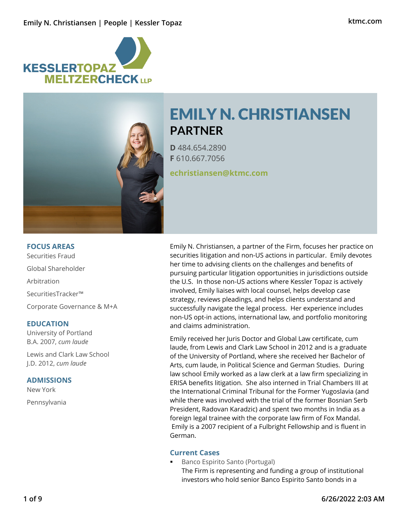



# EMILY N. CHRISTIANSEN **PARTNER**

**D** 484.654.2890 **F** 610.667.7056

**echristiansen@ktmc.com**

# **FOCUS AREAS**

Securities Fraud Global Shareholder Arbitration SecuritiesTracker™ Corporate Governance & M+A

# **EDUCATION**

University of Portland B.A. 2007, *cum laude*

Lewis and Clark Law School J.D. 2012, *cum laude*

# **ADMISSIONS**

New York Pennsylvania Emily N. Christiansen, a partner of the Firm, focuses her practice on securities litigation and non-US actions in particular. Emily devotes her time to advising clients on the challenges and benefits of pursuing particular litigation opportunities in jurisdictions outside the U.S. In those non-US actions where Kessler Topaz is actively involved, Emily liaises with local counsel, helps develop case strategy, reviews pleadings, and helps clients understand and successfully navigate the legal process. Her experience includes non-US opt-in actions, international law, and portfolio monitoring and claims administration.

Emily received her Juris Doctor and Global Law certificate, cum laude, from Lewis and Clark Law School in 2012 and is a graduate of the University of Portland, where she received her Bachelor of Arts, cum laude, in Political Science and German Studies. During law school Emily worked as a law clerk at a law firm specializing in ERISA benefits litigation. She also interned in Trial Chambers III at the International Criminal Tribunal for the Former Yugoslavia (and while there was involved with the trial of the former Bosnian Serb President, Radovan Karadzic) and spent two months in India as a foreign legal trainee with the corporate law firm of Fox Mandal. Emily is a 2007 recipient of a Fulbright Fellowship and is fluent in German.

# **Current Cases**

 Banco Espirito Santo (Portugal) The Firm is representing and funding a group of institutional investors who hold senior Banco Espirito Santo bonds in a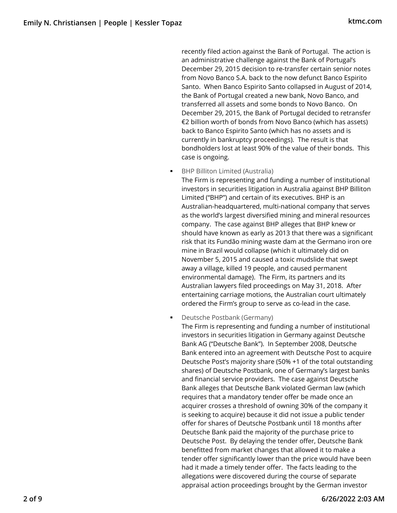recently filed action against the Bank of Portugal. The action is an administrative challenge against the Bank of Portugal's December 29, 2015 decision to re-transfer certain senior notes from Novo Banco S.A. back to the now defunct Banco Espirito Santo. When Banco Espirito Santo collapsed in August of 2014, the Bank of Portugal created a new bank, Novo Banco, and transferred all assets and some bonds to Novo Banco. On December 29, 2015, the Bank of Portugal decided to retransfer €2 billion worth of bonds from Novo Banco (which has assets) back to Banco Espirito Santo (which has no assets and is currently in bankruptcy proceedings). The result is that bondholders lost at least 90% of the value of their bonds. This case is ongoing.

BHP Billiton Limited (Australia)

The Firm is representing and funding a number of institutional investors in securities litigation in Australia against BHP Billiton Limited ("BHP") and certain of its executives. BHP is an Australian-headquartered, multi-national company that serves as the world's largest diversified mining and mineral resources company. The case against BHP alleges that BHP knew or should have known as early as 2013 that there was a significant risk that its Fundão mining waste dam at the Germano iron ore mine in Brazil would collapse (which it ultimately did on November 5, 2015 and caused a toxic mudslide that swept away a village, killed 19 people, and caused permanent environmental damage). The Firm, its partners and its Australian lawyers filed proceedings on May 31, 2018. After entertaining carriage motions, the Australian court ultimately ordered the Firm's group to serve as co-lead in the case.

Deutsche Postbank (Germany)

The Firm is representing and funding a number of institutional investors in securities litigation in Germany against Deutsche Bank AG ("Deutsche Bank"). In September 2008, Deutsche Bank entered into an agreement with Deutsche Post to acquire Deutsche Post's majority share (50% +1 of the total outstanding shares) of Deutsche Postbank, one of Germany's largest banks and financial service providers. The case against Deutsche Bank alleges that Deutsche Bank violated German law (which requires that a mandatory tender offer be made once an acquirer crosses a threshold of owning 30% of the company it is seeking to acquire) because it did not issue a public tender offer for shares of Deutsche Postbank until 18 months after Deutsche Bank paid the majority of the purchase price to Deutsche Post. By delaying the tender offer, Deutsche Bank benefitted from market changes that allowed it to make a tender offer significantly lower than the price would have been had it made a timely tender offer. The facts leading to the allegations were discovered during the course of separate appraisal action proceedings brought by the German investor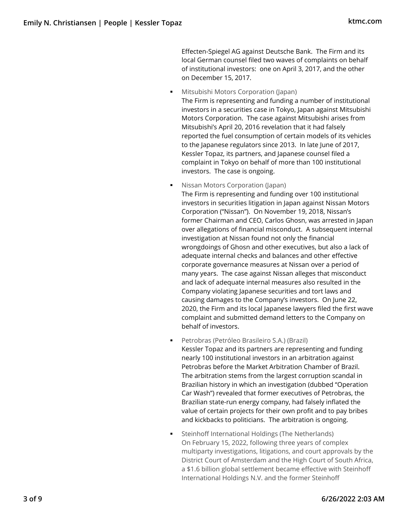Effecten-Spiegel AG against Deutsche Bank. The Firm and its local German counsel filed two waves of complaints on behalf of institutional investors: one on April 3, 2017, and the other on December 15, 2017.

- Mitsubishi Motors Corporation (Japan) The Firm is representing and funding a number of institutional investors in a securities case in Tokyo, Japan against Mitsubishi Motors Corporation. The case against Mitsubishi arises from Mitsubishi's April 20, 2016 revelation that it had falsely reported the fuel consumption of certain models of its vehicles to the Japanese regulators since 2013. In late June of 2017, Kessler Topaz, its partners, and Japanese counsel filed a complaint in Tokyo on behalf of more than 100 institutional investors. The case is ongoing.
- Nissan Motors Corporation (Japan) The Firm is representing and funding over 100 institutional investors in securities litigation in Japan against Nissan Motors Corporation ("Nissan"). On November 19, 2018, Nissan's former Chairman and CEO, Carlos Ghosn, was arrested in Japan over allegations of financial misconduct. A subsequent internal investigation at Nissan found not only the financial wrongdoings of Ghosn and other executives, but also a lack of adequate internal checks and balances and other effective corporate governance measures at Nissan over a period of many years. The case against Nissan alleges that misconduct and lack of adequate internal measures also resulted in the Company violating Japanese securities and tort laws and causing damages to the Company's investors. On June 22, 2020, the Firm and its local Japanese lawyers filed the first wave complaint and submitted demand letters to the Company on behalf of investors.
- Petrobras (Petróleo Brasileiro S.A.) (Brazil) Kessler Topaz and its partners are representing and funding nearly 100 institutional investors in an arbitration against Petrobras before the Market Arbitration Chamber of Brazil. The arbitration stems from the largest corruption scandal in Brazilian history in which an investigation (dubbed "Operation Car Wash") revealed that former executives of Petrobras, the Brazilian state-run energy company, had falsely inflated the value of certain projects for their own profit and to pay bribes and kickbacks to politicians. The arbitration is ongoing.
- Steinhoff International Holdings (The Netherlands) On February 15, 2022, following three years of complex multiparty investigations, litigations, and court approvals by the District Court of Amsterdam and the High Court of South Africa, a \$1.6 billion global settlement became effective with Steinhoff International Holdings N.V. and the former Steinhoff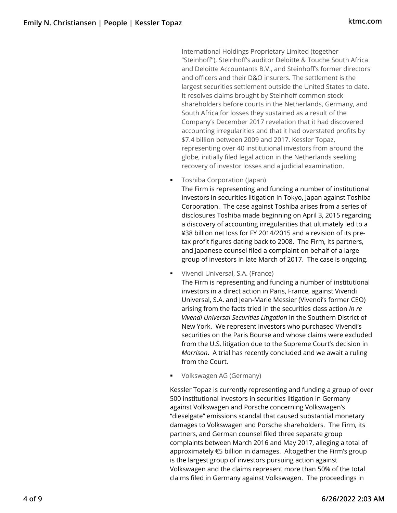International Holdings Proprietary Limited (together "Steinhoff"), Steinhoff's auditor Deloitte & Touche South Africa and Deloitte Accountants B.V., and Steinhoff's former directors and officers and their D&O insurers. The settlement is the largest securities settlement outside the United States to date. It resolves claims brought by Steinhoff common stock shareholders before courts in the Netherlands, Germany, and South Africa for losses they sustained as a result of the Company's December 2017 revelation that it had discovered accounting irregularities and that it had overstated profits by \$7.4 billion between 2009 and 2017. Kessler Topaz, representing over 40 institutional investors from around the globe, initially filed legal action in the Netherlands seeking recovery of investor losses and a judicial examination.

Toshiba Corporation (Japan)

The Firm is representing and funding a number of institutional investors in securities litigation in Tokyo, Japan against Toshiba Corporation. The case against Toshiba arises from a series of disclosures Toshiba made beginning on April 3, 2015 regarding a discovery of accounting irregularities that ultimately led to a ¥38 billion net loss for FY 2014/2015 and a revision of its pretax profit figures dating back to 2008. The Firm, its partners, and Japanese counsel filed a complaint on behalf of a large group of investors in late March of 2017. The case is ongoing.

Vivendi Universal, S.A. (France)

The Firm is representing and funding a number of institutional investors in a direct action in Paris, France, against Vivendi Universal, S.A. and Jean-Marie Messier (Vivendi's former CEO) arising from the facts tried in the securities class action *In re Vivendi Universal Securities Litigation* in the Southern District of New York. We represent investors who purchased Vivendi's securities on the Paris Bourse and whose claims were excluded from the U.S. litigation due to the Supreme Court's decision in *Morrison*. A trial has recently concluded and we await a ruling from the Court.

Volkswagen AG (Germany)

Kessler Topaz is currently representing and funding a group of over 500 institutional investors in securities litigation in Germany against Volkswagen and Porsche concerning Volkswagen's "dieselgate" emissions scandal that caused substantial monetary damages to Volkswagen and Porsche shareholders. The Firm, its partners, and German counsel filed three separate group complaints between March 2016 and May 2017, alleging a total of approximately €5 billion in damages. Altogether the Firm's group is the largest group of investors pursuing action against Volkswagen and the claims represent more than 50% of the total claims filed in Germany against Volkswagen. The proceedings in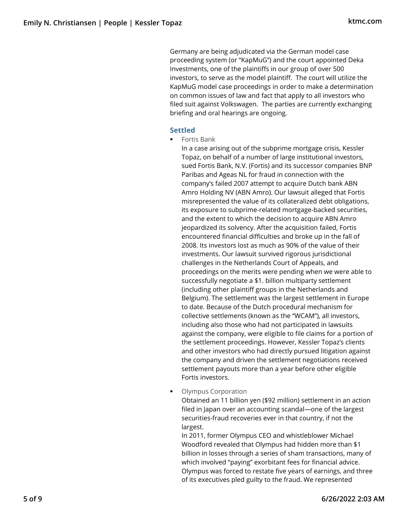Germany are being adjudicated via the German model case proceeding system (or "KapMuG") and the court appointed Deka Investments, one of the plaintiffs in our group of over 500 investors, to serve as the model plaintiff. The court will utilize the KapMuG model case proceedings in order to make a determination on common issues of law and fact that apply to all investors who filed suit against Volkswagen. The parties are currently exchanging briefing and oral hearings are ongoing.

#### **Settled**

**Fortis Bank** 

In a case arising out of the subprime mortgage crisis, Kessler Topaz, on behalf of a number of large institutional investors, sued Fortis Bank, N.V. (Fortis) and its successor companies BNP Paribas and Ageas NL for fraud in connection with the company's failed 2007 attempt to acquire Dutch bank ABN Amro Holding NV (ABN Amro). Our lawsuit alleged that Fortis misrepresented the value of its collateralized debt obligations, its exposure to subprime-related mortgage-backed securities, and the extent to which the decision to acquire ABN Amro jeopardized its solvency. After the acquisition failed, Fortis encountered financial difficulties and broke up in the fall of 2008. Its investors lost as much as 90% of the value of their investments. Our lawsuit survived rigorous jurisdictional challenges in the Netherlands Court of Appeals, and proceedings on the merits were pending when we were able to successfully negotiate a \$1. billion multiparty settlement (including other plaintiff groups in the Netherlands and Belgium). The settlement was the largest settlement in Europe to date. Because of the Dutch procedural mechanism for collective settlements (known as the "WCAM"), all investors, including also those who had not participated in lawsuits against the company, were eligible to file claims for a portion of the settlement proceedings. However, Kessler Topaz's clients and other investors who had directly pursued litigation against the company and driven the settlement negotiations received settlement payouts more than a year before other eligible Fortis investors.

Olympus Corporation

Obtained an 11 billion yen (\$92 million) settlement in an action filed in Japan over an accounting scandal—one of the largest securities-fraud recoveries ever in that country, if not the largest.

In 2011, former Olympus CEO and whistleblower Michael Woodford revealed that Olympus had hidden more than \$1 billion in losses through a series of sham transactions, many of which involved "paying" exorbitant fees for financial advice. Olympus was forced to restate five years of earnings, and three of its executives pled guilty to the fraud. We represented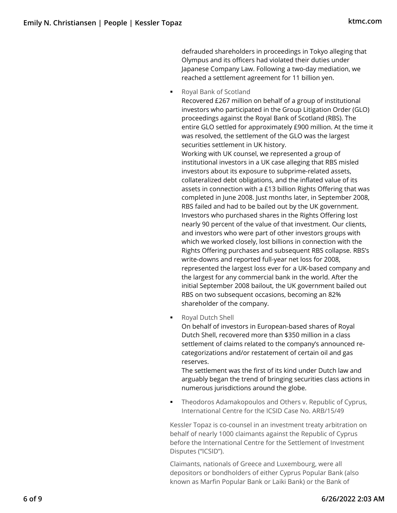defrauded shareholders in proceedings in Tokyo alleging that Olympus and its officers had violated their duties under Japanese Company Law. Following a two-day mediation, we reached a settlement agreement for 11 billion yen.

■ Royal Bank of Scotland

Recovered £267 million on behalf of a group of institutional investors who participated in the Group Litigation Order (GLO) proceedings against the Royal Bank of Scotland (RBS). The entire GLO settled for approximately £900 million. At the time it was resolved, the settlement of the GLO was the largest securities settlement in UK history.

Working with UK counsel, we represented a group of institutional investors in a UK case alleging that RBS misled investors about its exposure to subprime-related assets, collateralized debt obligations, and the inflated value of its assets in connection with a £13 billion Rights Offering that was completed in June 2008. Just months later, in September 2008, RBS failed and had to be bailed out by the UK government. Investors who purchased shares in the Rights Offering lost nearly 90 percent of the value of that investment. Our clients, and investors who were part of other investors groups with which we worked closely, lost billions in connection with the Rights Offering purchases and subsequent RBS collapse. RBS's write-downs and reported full-year net loss for 2008, represented the largest loss ever for a UK-based company and the largest for any commercial bank in the world. After the initial September 2008 bailout, the UK government bailed out RBS on two subsequent occasions, becoming an 82% shareholder of the company.

Royal Dutch Shell

On behalf of investors in European-based shares of Royal Dutch Shell, recovered more than \$350 million in a class settlement of claims related to the company's announced recategorizations and/or restatement of certain oil and gas reserves.

The settlement was the first of its kind under Dutch law and arguably began the trend of bringing securities class actions in numerous jurisdictions around the globe.

 Theodoros Adamakopoulos and Others v. Republic of Cyprus, International Centre for the ICSID Case No. ARB/15/49

Kessler Topaz is co-counsel in an investment treaty arbitration on behalf of nearly 1000 claimants against the Republic of Cyprus before the International Centre for the Settlement of Investment Disputes ("ICSID").

Claimants, nationals of Greece and Luxembourg, were all depositors or bondholders of either Cyprus Popular Bank (also known as Marfin Popular Bank or Laiki Bank) or the Bank of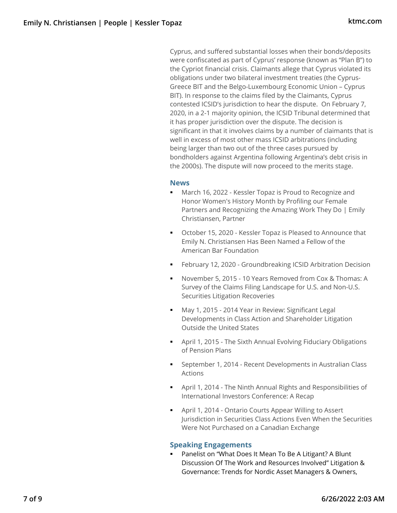Cyprus, and suffered substantial losses when their bonds/deposits were confiscated as part of Cyprus' response (known as "Plan B") to the Cypriot financial crisis. Claimants allege that Cyprus violated its obligations under two bilateral investment treaties (the Cyprus-Greece BIT and the Belgo-Luxembourg Economic Union – Cyprus BIT). In response to the claims filed by the Claimants, Cyprus contested ICSID's jurisdiction to hear the dispute. On February 7, 2020, in a 2-1 majority opinion, the ICSID Tribunal determined that it has proper jurisdiction over the dispute. The decision is significant in that it involves claims by a number of claimants that is well in excess of most other mass ICSID arbitrations (including being larger than two out of the three cases pursued by bondholders against Argentina following Argentina's debt crisis in the 2000s). The dispute will now proceed to the merits stage.

#### **News**

- **March 16, 2022 Kessler Topaz is Proud to Recognize and** Honor Women's History Month by Profiling our Female Partners and Recognizing the Amazing Work They Do | Emily Christiansen, Partner
- October 15, 2020 Kessler Topaz is Pleased to Announce that Emily N. Christiansen Has Been Named a Fellow of the American Bar Foundation
- **February 12, 2020 Groundbreaking ICSID Arbitration Decision**
- November 5, 2015 10 Years Removed from Cox & Thomas: A Survey of the Claims Filing Landscape for U.S. and Non-U.S. Securities Litigation Recoveries
- May 1, 2015 2014 Year in Review: Significant Legal Developments in Class Action and Shareholder Litigation Outside the United States
- April 1, 2015 The Sixth Annual Evolving Fiduciary Obligations of Pension Plans
- September 1, 2014 Recent Developments in Australian Class Actions
- April 1, 2014 The Ninth Annual Rights and Responsibilities of International Investors Conference: A Recap
- April 1, 2014 Ontario Courts Appear Willing to Assert Jurisdiction in Securities Class Actions Even When the Securities Were Not Purchased on a Canadian Exchange

# **Speaking Engagements**

 Panelist on "What Does It Mean To Be A Litigant? A Blunt Discussion Of The Work and Resources Involved" Litigation & Governance: Trends for Nordic Asset Managers & Owners,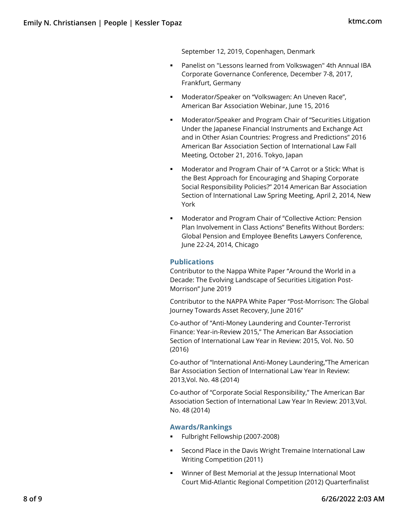September 12, 2019, Copenhagen, Denmark

- Panelist on "Lessons learned from Volkswagen" 4th Annual IBA Corporate Governance Conference, December 7-8, 2017, Frankfurt, Germany
- **Moderator/Speaker on "Volkswagen: An Uneven Race",** American Bar Association Webinar, June 15, 2016
- Moderator/Speaker and Program Chair of "Securities Litigation Under the Japanese Financial Instruments and Exchange Act and in Other Asian Countries: Progress and Predictions" 2016 American Bar Association Section of International Law Fall Meeting, October 21, 2016. Tokyo, Japan
- Moderator and Program Chair of "A Carrot or a Stick: What is the Best Approach for Encouraging and Shaping Corporate Social Responsibility Policies?" 2014 American Bar Association Section of International Law Spring Meeting, April 2, 2014, New York
- Moderator and Program Chair of "Collective Action: Pension Plan Involvement in Class Actions" Benefits Without Borders: Global Pension and Employee Benefits Lawyers Conference, June 22-24, 2014, Chicago

# **Publications**

Contributor to the Nappa White Paper "Around the World in a Decade: The Evolving Landscape of Securities Litigation Post-Morrison" June 2019

Contributor to the NAPPA White Paper "Post-Morrison: The Global Journey Towards Asset Recovery, June 2016"

Co-author of "Anti-Money Laundering and Counter-Terrorist Finance: Year-in-Review 2015," The American Bar Association Section of International Law Year in Review: 2015, Vol. No. 50 (2016)

Co-author of "International Anti-Money Laundering,"The American Bar Association Section of International Law Year In Review: 2013,Vol. No. 48 (2014)

Co-author of "Corporate Social Responsibility," The American Bar Association Section of International Law Year In Review: 2013,Vol. No. 48 (2014)

#### **Awards/Rankings**

- Fulbright Fellowship (2007-2008)
- **EXECOLD Place in the Davis Wright Tremaine International Law** Writing Competition (2011)
- Winner of Best Memorial at the Jessup International Moot Court Mid-Atlantic Regional Competition (2012) Quarterfinalist